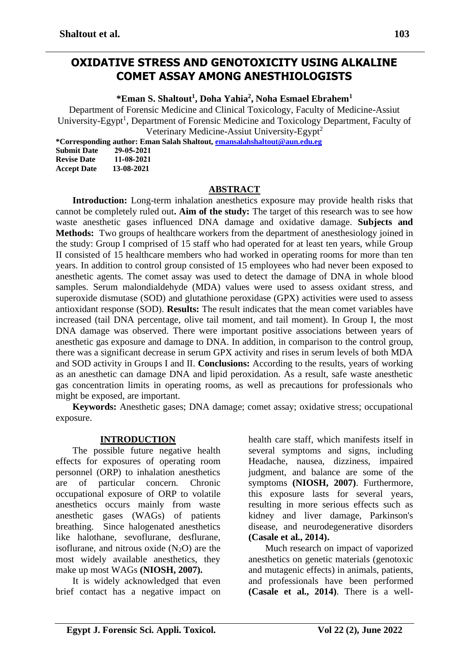## **OXIDATIVE STRESS AND GENOTOXICITY USING ALKALINE COMET ASSAY AMONG ANESTHIOLOGISTS**

**\*Eman S. Shaltout<sup>1</sup> , Doha Yahia<sup>2</sup> , Noha Esmael Ebrahem<sup>1</sup>**

Department of Forensic Medicine and Clinical Toxicology, Faculty of Medicine-Assiut University-Egypt<sup>1</sup>, Department of Forensic Medicine and Toxicology Department, Faculty of Veterinary Medicine-Assiut University-Egypt<sup>2</sup>

**\*Corresponding author: Eman Salah Shaltout, [emansalahshaltout@aun.edu.eg](mailto:emansalahshaltout@aun.edu.eg)**

| <b>Submit Date</b> | 29-05-2021 |
|--------------------|------------|
| <b>Revise Date</b> | 11-08-2021 |
| <b>Accept Date</b> | 13-08-2021 |

#### **ABSTRACT**

**Introduction:** Long-term inhalation anesthetics exposure may provide health risks that cannot be completely ruled out**. Aim of the study:** The target of this research was to see how waste anesthetic gases influenced DNA damage and oxidative damage. **Subjects and Methods:** Two groups of healthcare workers from the department of anesthesiology joined in the study: Group I comprised of 15 staff who had operated for at least ten years, while Group II consisted of 15 healthcare members who had worked in operating rooms for more than ten years. In addition to control group consisted of 15 employees who had never been exposed to anesthetic agents. The comet assay was used to detect the damage of DNA in whole blood samples. Serum malondialdehyde (MDA) values were used to assess oxidant stress, and superoxide dismutase (SOD) and glutathione peroxidase (GPX) activities were used to assess antioxidant response (SOD). **Results:** The result indicates that the mean comet variables have increased (tail DNA percentage, olive tail moment, and tail moment). In Group I, the most DNA damage was observed. There were important positive associations between years of anesthetic gas exposure and damage to DNA. In addition, in comparison to the control group, there was a significant decrease in serum GPX activity and rises in serum levels of both MDA and SOD activity in Groups I and II. **Conclusions:** According to the results, years of working as an anesthetic can damage DNA and lipid peroxidation. As a result, safe waste anesthetic gas concentration limits in operating rooms, as well as precautions for professionals who might be exposed, are important.

**Keywords:** Anesthetic gases; DNA damage; comet assay; oxidative stress; occupational exposure.

#### **INTRODUCTION**

The possible future negative health effects for exposures of operating room personnel (ORP) to inhalation anesthetics are of particular concern. Chronic occupational exposure of ORP to volatile anesthetics occurs mainly from waste anesthetic gases (WAGs) of patients breathing. Since halogenated anesthetics like halothane, sevoflurane, desflurane, isoflurane, and nitrous oxide  $(N_2O)$  are the most widely available anesthetics, they make up most WAGs **(NIOSH, 2007).**

It is widely acknowledged that even brief contact has a negative impact on

health care staff, which manifests itself in several symptoms and signs, including Headache, nausea, dizziness, impaired judgment, and balance are some of the symptoms **(NIOSH, 2007)**. Furthermore, this exposure lasts for several years, resulting in more serious effects such as kidney and liver damage, Parkinson's disease, and neurodegenerative disorders **(Casale et al., 2014).** 

Much research on impact of vaporized anesthetics on genetic materials (genotoxic and mutagenic effects) in animals, patients, and professionals have been performed **(Casale et al., 2014)**. There is a well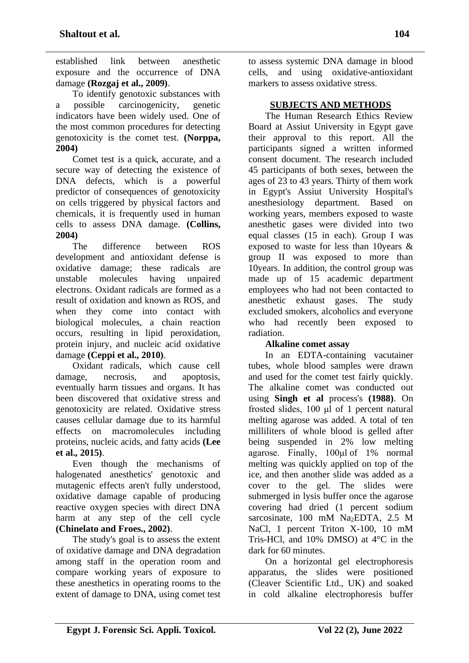established link between anesthetic exposure and the occurrence of DNA damage **(Rozgaj et al., 2009)**.

To identify genotoxic substances with a possible carcinogenicity, genetic indicators have been widely used. One of the most common procedures for detecting genotoxicity is the comet test. **(Norppa, 2004)**

Comet test is a quick, accurate, and a secure way of detecting the existence of DNA defects, which is a powerful predictor of consequences of genotoxicity on cells triggered by physical factors and chemicals, it is frequently used in human cells to assess DNA damage. **(Collins, 2004)**

The difference between ROS development and antioxidant defense is oxidative damage; these radicals are unstable molecules having unpaired electrons. Oxidant radicals are formed as a result of oxidation and known as ROS, and when they come into contact with biological molecules, a chain reaction occurs, resulting in lipid peroxidation, protein injury, and nucleic acid oxidative damage **(Ceppi et al., 2010)**.

Oxidant radicals, which cause cell damage, necrosis, and apoptosis, eventually harm tissues and organs. It has been discovered that oxidative stress and genotoxicity are related. Oxidative stress causes cellular damage due to its harmful effects on macromolecules including proteins, nucleic acids, and fatty acids **(Lee et al., 2015)**.

Even though the mechanisms of halogenated anesthetics' genotoxic and mutagenic effects aren't fully understood, oxidative damage capable of producing reactive oxygen species with direct DNA harm at any step of the cell cycle **(Chinelato and Froes., 2002)**.

The study's goal is to assess the extent of oxidative damage and DNA degradation among staff in the operation room and compare working years of exposure to these anesthetics in operating rooms to the extent of damage to DNA, using comet test to assess systemic DNA damage in blood cells, and using oxidative-antioxidant markers to assess oxidative stress.

## **SUBJECTS AND METHODS**

The Human Research Ethics Review Board at Assiut University in Egypt gave their approval to this report. All the participants signed a written informed consent document. The research included 45 participants of both sexes, between the ages of 23 to 43 years. Thirty of them work in Egypt's Assiut University Hospital's anesthesiology department. Based on working years, members exposed to waste anesthetic gases were divided into two equal classes (15 in each). Group I was exposed to waste for less than 10years & group II was exposed to more than 10years. In addition, the control group was made up of 15 academic department employees who had not been contacted to anesthetic exhaust gases. The study excluded smokers, alcoholics and everyone who had recently been exposed to radiation.

## **Alkaline comet assay**

In an EDTA-containing vacutainer tubes, whole blood samples were drawn and used for the comet test fairly quickly. The alkaline comet was conducted out using **Singh et al** process's **(1988)**. On frosted slides, 100 μl of 1 percent natural melting agarose was added. A total of ten milliliters of whole blood is gelled after being suspended in 2% low melting agarose. Finally, 100μl of 1% normal melting was quickly applied on top of the ice, and then another slide was added as a cover to the gel. The slides were submerged in lysis buffer once the agarose covering had dried (1 percent sodium sarcosinate, 100 mM Na<sub>2</sub>EDTA, 2.5 M NaCl, 1 percent Triton X-100, 10 mM Tris-HCl, and 10% DMSO) at 4°C in the dark for 60 minutes.

On a horizontal gel electrophoresis apparatus, the slides were positioned (Cleaver Scientific Ltd., UK) and soaked in cold alkaline electrophoresis buffer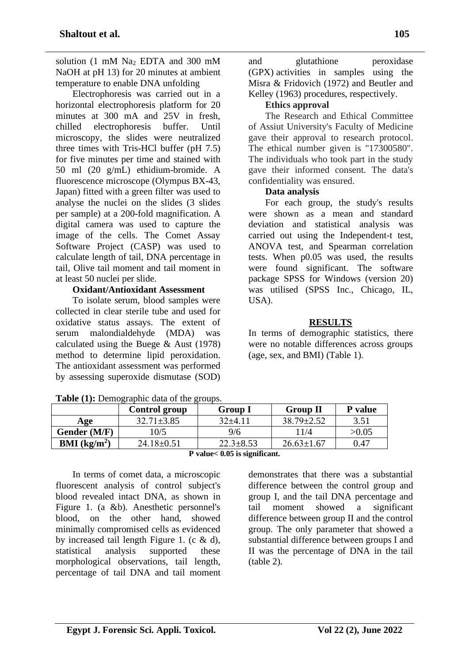solution (1 mM Na<sub>2</sub> EDTA and 300 mM NaOH at pH 13) for 20 minutes at ambient temperature to enable DNA unfolding

Electrophoresis was carried out in a horizontal electrophoresis platform for 20 minutes at 300 mA and 25V in fresh, chilled electrophoresis buffer. Until microscopy, the slides were neutralized three times with Tris-HCl buffer (pH 7.5) for five minutes per time and stained with 50 ml (20 g/mL) ethidium-bromide. A fluorescence microscope (Olympus BX-43, Japan) fitted with a green filter was used to analyse the nuclei on the slides (3 slides per sample) at a 200-fold magnification. A digital camera was used to capture the image of the cells. The Comet Assay Software Project (CASP) was used to calculate length of tail, DNA percentage in tail, Olive tail moment and tail moment in at least 50 nuclei per slide.

### **Oxidant/Antioxidant Assessment**

To isolate serum, blood samples were collected in clear sterile tube and used for oxidative status assays. The extent of serum malondialdehyde (MDA) was calculated using the Buege & Aust (1978) method to determine lipid peroxidation. The antioxidant assessment was performed by assessing superoxide dismutase (SOD)

and glutathione peroxidase (GPX) activities in samples using the Misra & Fridovich (1972) and Beutler and Kelley (1963) procedures, respectively.

#### **Ethics approval**

The Research and Ethical Committee of Assiut University's Faculty of Medicine gave their approval to research protocol. The ethical number given is "17300580". The individuals who took part in the study gave their informed consent. The data's confidentiality was ensured.

#### **Data analysis**

For each group, the study's results were shown as a mean and standard deviation and statistical analysis was carried out using the Independent-t test, ANOVA test, and Spearman correlation tests. When p0.05 was used, the results were found significant. The software package SPSS for Windows (version 20) was utilised (SPSS Inc., Chicago, IL,  $USA$ ).

#### **RESULTS**

In terms of demographic statistics, there were no notable differences across groups (age, sex, and BMI) (Table 1).

|                        | Control group    | <b>Group I</b>  | <b>Group II</b>  | P value |
|------------------------|------------------|-----------------|------------------|---------|
| Age                    | $32.71 \pm 3.85$ | 32+4.11         | $38.79 \pm 2.52$ | 3.51    |
| Gender (M/F)           | 10/5             | 9/6             | 1/4              | >0.05   |
| <b>BMI</b> ( $kg/m2$ ) | $24.18\pm0.51$   | $22.3 \pm 8.53$ | $26.63 \pm 1.67$ | 0.47    |

**Table (1):** Demographic data of the groups.

**P value< 0.05 is significant.**

In terms of comet data, a microscopic fluorescent analysis of control subject's blood revealed intact DNA, as shown in Figure 1. (a &b). Anesthetic personnel's blood, on the other hand, showed minimally compromised cells as evidenced by increased tail length Figure 1. (c & d), statistical analysis supported these morphological observations, tail length, percentage of tail DNA and tail moment

demonstrates that there was a substantial difference between the control group and group I, and the tail DNA percentage and tail moment showed a significant difference between group II and the control group. The only parameter that showed a substantial difference between groups I and II was the percentage of DNA in the tail (table 2).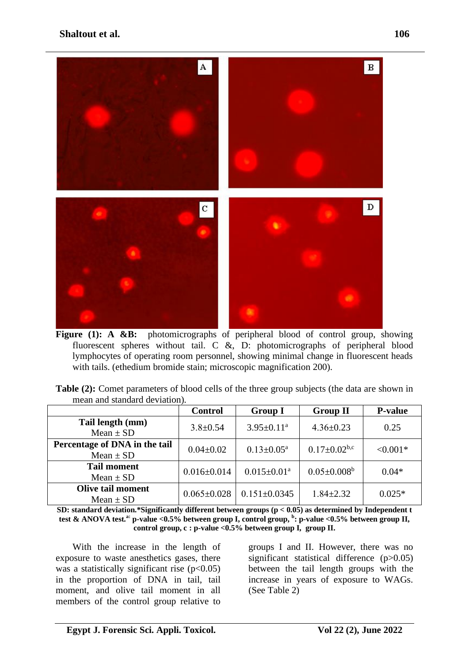## **Shaltout et al.** 106



Figure (1): A &B: photomicrographs of peripheral blood of control group, showing fluorescent spheres without tail. C &, D: photomicrographs of peripheral blood lymphocytes of operating room personnel, showing minimal change in fluorescent heads with tails. (ethedium bromide stain; microscopic magnification 200).

| <b>Table (2):</b> Comet parameters of blood cells of the three group subjects (the data are shown in |  |
|------------------------------------------------------------------------------------------------------|--|
| mean and standard deviation).                                                                        |  |

|                                                | <b>Control</b>    | <b>Group I</b>             | <b>Group II</b>           | <b>P-value</b> |
|------------------------------------------------|-------------------|----------------------------|---------------------------|----------------|
| Tail length (mm)<br>Mean $\pm$ SD              | $3.8 \pm 0.54$    | $3.95 \pm 0.11^a$          | $4.36 \pm 0.23$           | 0.25           |
| Percentage of DNA in the tail<br>Mean $\pm$ SD | $0.04 \pm 0.02$   | $0.13 \pm 0.05^{\text{a}}$ | $0.17 \pm 0.02^{\rm b,c}$ | $< 0.001*$     |
| <b>Tail moment</b><br>Mean $\pm$ SD            | $0.016 \pm 0.014$ | $0.015 \pm 0.01^a$         | $0.05 \pm 0.008^b$        | $0.04*$        |
| <b>Olive tail moment</b><br>Mean $\pm$ SD      | $0.065 \pm 0.028$ | $0.151 \pm 0.0345$         | $1.84 \pm 2.32$           | $0.025*$       |

**SD: standard deviation.\*Significantly different between groups (p < 0.05) as determined by Independent t test & ANOVA test.a: p-value <0.5% between group I, control group, <sup>b</sup> : p-value <0.5% between group II, control group, c : p-value <0.5% between group I, group II.**

With the increase in the length of exposure to waste anesthetics gases, there was a statistically significant rise  $(p<0.05)$ in the proportion of DNA in tail, tail moment, and olive tail moment in all members of the control group relative to

groups I and II. However, there was no significant statistical difference (p>0.05) between the tail length groups with the increase in years of exposure to WAGs. (See Table 2)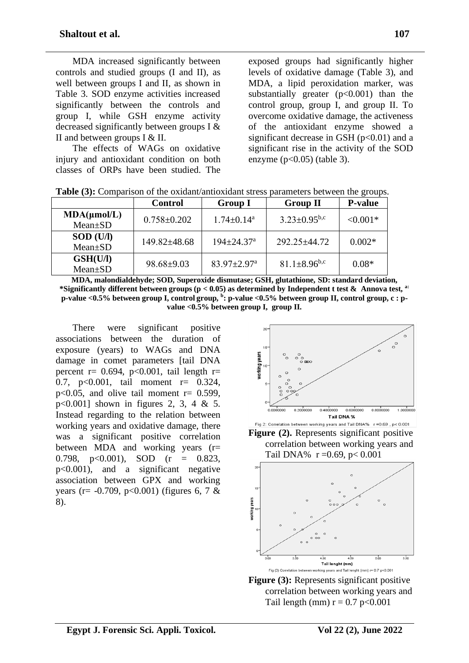| MDA increased significantly between        |
|--------------------------------------------|
| controls and studied groups (I and II), as |
| well between groups I and II, as shown in  |
| Table 3. SOD enzyme activities increased   |
| significantly between the controls and     |
| group I, while GSH enzyme activity         |
| decreased significantly between groups I & |
| II and between groups $I \& II$ .          |

The effects of WAGs on oxidative injury and antioxidant condition on both classes of ORPs have been studied. The exposed groups had significantly higher levels of oxidative damage (Table 3), and MDA, a lipid peroxidation marker, was substantially greater  $(p<0.001)$  than the control group, group I, and group II. To overcome oxidative damage, the activeness of the antioxidant enzyme showed a significant decrease in GSH  $(p<0.01)$  and a significant rise in the activity of the SOD enzyme  $(p<0.05)$  (table 3).

|                  | <b>Control</b>     | <b>Group I</b>                | <b>Group II</b>                | <b>P-value</b> |
|------------------|--------------------|-------------------------------|--------------------------------|----------------|
| MDA(µmol/L)      | $0.758 \pm 0.202$  | $1.74 \pm 0.14^a$             | $3.23 \pm 0.95^{b,c}$          | $< 0.001*$     |
| $Mean \pm SD$    |                    |                               |                                |                |
| <b>SOD</b> (U/I) | $149.82 \pm 48.68$ | $194 \pm 24.37$ <sup>a</sup>  | $292.25 \pm 44.72$             | $0.002*$       |
| $Mean \pm SD$    |                    |                               |                                |                |
| <b>GSH(U/I)</b>  | $98.68 \pm 9.03$   | $83.97 \pm 2.97$ <sup>a</sup> | $81.1 \pm 8.96$ <sup>b,c</sup> | $0.08*$        |
| $Mean \pm SD$    |                    |                               |                                |                |

**Table (3):** Comparison of the oxidant/antioxidant stress parameters between the groups.

**MDA, malondialdehyde; SOD, Superoxide dismutase; GSH, glutathione, SD: standard deviation, \*Significantly different between groups (p < 0.05) as determined by Independent t test & Annova test, a: p-value <0.5% between group I, control group, <sup>b</sup> : p-value <0.5% between group II, control group, c : pvalue <0.5% between group I, group II.**

There were significant positive associations between the duration of exposure (years) to WAGs and DNA damage in comet parameters [tail DNA percent r=  $0.694$ , p<0.001, tail length r= 0.7, p<0.001, tail moment r= 0.324,  $p<0.05$ , and olive tail moment  $r= 0.599$ , p<0.001] shown in figures 2, 3, 4 & 5. Instead regarding to the relation between working years and oxidative damage, there was a significant positive correlation between MDA and working years (r= 0.798, p<0.001), SOD (r = 0.823, p<0.001), and a significant negative association between GPX and working years (r=  $-0.709$ , p<0.001) (figures 6, 7 & 8).



**Figure (2).** Represents significant positive correlation between working years and Tail DNA%  $r = 0.69$ ,  $p < 0.001$ 



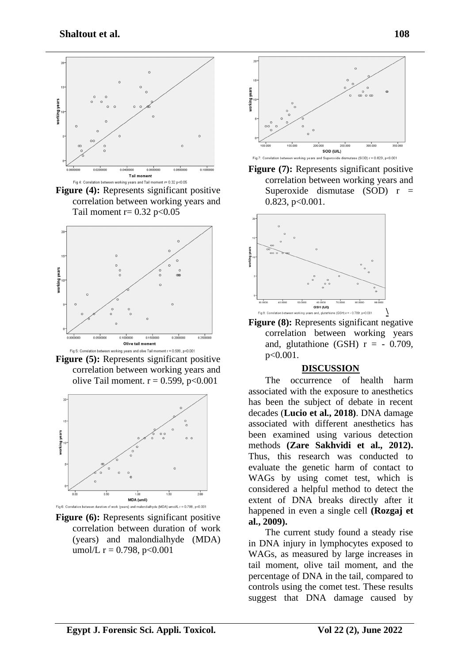

**Figure (4):** Represents significant positive correlation between working years and Tail moment  $r = 0.32$  p<0.05



**Figure (5):** Represents significant positive correlation between working years and olive Tail moment.  $r = 0.599$ ,  $p < 0.001$ 



**Figure (6):** Represents significant positive correlation between duration of work (years) and malondialhyde (MDA) umol/L  $r = 0.798$ ,  $p < 0.001$ 



**Figure (7):** Represents significant positive correlation between working years and Superoxide dismutase  $(SOD)$  r =  $0.823$ ,  $p<0.001$ .



**Figure (8):** Represents significant negative correlation between working years and, glutathione (GSH)  $r = -0.709$ , p<0.001.

#### **DISCUSSION**

The occurrence of health harm associated with the exposure to anesthetics has been the subject of debate in recent decades (**Lucio et al., 2018)**. DNA damage associated with different anesthetics has been examined using various detection methods **(Zare Sakhvidi et al., 2012).** Thus, this research was conducted to evaluate the genetic harm of contact to WAGs by using comet test, which is considered a helpful method to detect the extent of DNA breaks directly after it happened in even a single cell **(Rozgaj et al., 2009).**

The current study found a steady rise in DNA injury in lymphocytes exposed to WAGs, as measured by large increases in tail moment, olive tail moment, and the percentage of DNA in the tail, compared to controls using the comet test. These results suggest that DNA damage caused by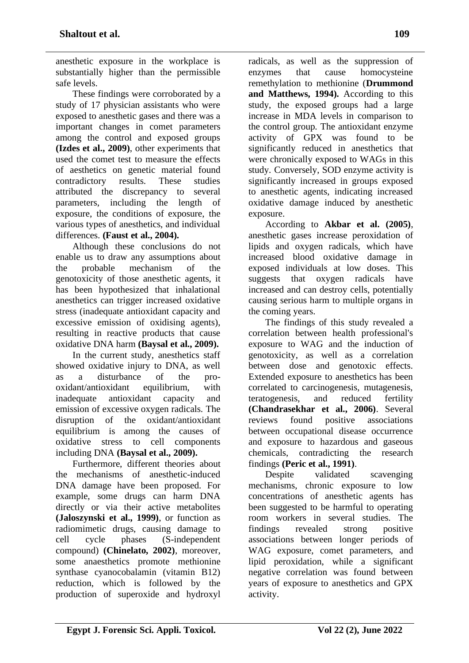anesthetic exposure in the workplace is substantially higher than the permissible safe levels.

These findings were corroborated by a study of 17 physician assistants who were exposed to anesthetic gases and there was a important changes in comet parameters among the control and exposed groups **(Izdes et al., 2009)**, other experiments that used the comet test to measure the effects of aesthetics on genetic material found contradictory results. These studies attributed the discrepancy to several parameters, including the length of exposure, the conditions of exposure, the various types of anesthetics, and individual differences. **(Faust et al., 2004).**

Although these conclusions do not enable us to draw any assumptions about the probable mechanism of the genotoxicity of those anesthetic agents, it has been hypothesized that inhalational anesthetics can trigger increased oxidative stress (inadequate antioxidant capacity and excessive emission of oxidising agents), resulting in reactive products that cause oxidative DNA harm **(Baysal et al., 2009).**

In the current study, anesthetics staff showed oxidative injury to DNA, as well as a disturbance of the prooxidant/antioxidant equilibrium, with inadequate antioxidant capacity and emission of excessive oxygen radicals. The disruption of the oxidant/antioxidant equilibrium is among the causes of oxidative stress to cell components including DNA **(Baysal et al., 2009).**

Furthermore, different theories about the mechanisms of anesthetic-induced DNA damage have been proposed. For example, some drugs can harm DNA directly or via their active metabolites **(Jaloszynski et al., 1999)**, or function as radiomimetic drugs, causing damage to cell cycle phases (S-independent compound) **(Chinelato, 2002)**, moreover, some anaesthetics promote methionine synthase cyanocobalamin (vitamin B12) reduction, which is followed by the production of superoxide and hydroxyl

radicals, as well as the suppression of enzymes that cause homocysteine remethylation to methionine (**Drummond and Matthews, 1994).** According to this study, the exposed groups had a large increase in MDA levels in comparison to the control group. The antioxidant enzyme activity of GPX was found to be significantly reduced in anesthetics that were chronically exposed to WAGs in this study. Conversely, SOD enzyme activity is significantly increased in groups exposed to anesthetic agents, indicating increased oxidative damage induced by anesthetic exposure.

According to **Akbar et al. (2005)**, anesthetic gases increase peroxidation of lipids and oxygen radicals, which have increased blood oxidative damage in exposed individuals at low doses. This suggests that oxygen radicals have increased and can destroy cells, potentially causing serious harm to multiple organs in the coming years.

The findings of this study revealed a correlation between health professional's exposure to WAG and the induction of genotoxicity, as well as a correlation between dose and genotoxic effects. Extended exposure to anesthetics has been correlated to carcinogenesis, mutagenesis, teratogenesis, and reduced fertility **(Chandrasekhar et al., 2006)**. Several reviews found positive associations between occupational disease occurrence and exposure to hazardous and gaseous chemicals, contradicting the research findings **(Peric et al., 1991)**.

Despite validated scavenging mechanisms, chronic exposure to low concentrations of anesthetic agents has been suggested to be harmful to operating room workers in several studies. The findings revealed strong positive associations between longer periods of WAG exposure, comet parameters, and lipid peroxidation, while a significant negative correlation was found between years of exposure to anesthetics and GPX activity.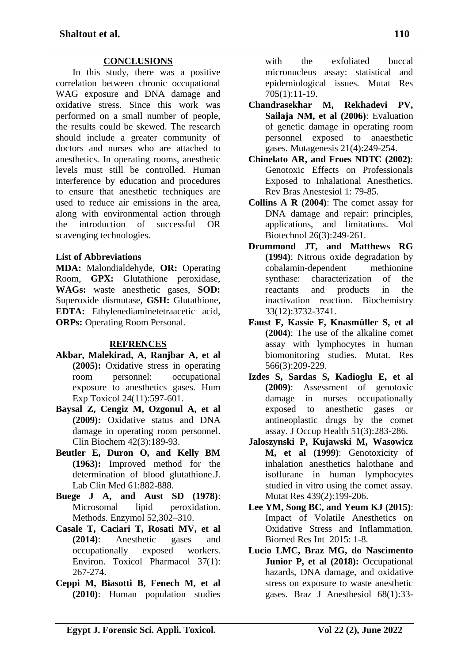## **CONCLUSIONS**

In this study, there was a positive correlation between chronic occupational WAG exposure and DNA damage and oxidative stress. Since this work was performed on a small number of people, the results could be skewed. The research should include a greater community of doctors and nurses who are attached to anesthetics. In operating rooms, anesthetic levels must still be controlled. Human interference by education and procedures to ensure that anesthetic techniques are used to reduce air emissions in the area, along with environmental action through the introduction of successful OR scavenging technologies.

#### **List of Abbreviations**

**MDA:** Malondialdehyde, **OR:** Operating Room, **GPX:** Glutathione peroxidase, **WAGs:** waste anesthetic gases, **SOD:** Superoxide dismutase, **GSH:** Glutathione, **EDTA:** Ethylenediaminetetraacetic acid, **ORPs:** Operating Room Personal.

#### **REFRENCES**

- **Akbar, Malekirad, A, Ranjbar A, et al (2005):** Oxidative stress in operating room personnel: occupational exposure to anesthetics gases. Hum Exp Toxicol 24(11):597-601.
- **Baysal Z, Cengiz M, Ozgonul A, et al (2009):** Oxidative status and DNA damage in operating room personnel. Clin Biochem 42(3):189-93.
- **Beutler E, Duron O, and Kelly BM (1963):** Improved method for the determination of blood glutathione.J. Lab Clin Med 61:882-888.
- **Buege J A, and Aust SD (1978)**: Microsomal lipid peroxidation. Methods. Enzymol 52,302–310.
- **Casale T, Caciari T, Rosati MV, et al (2014)**: Anesthetic gases and occupationally exposed workers. Environ. Toxicol Pharmacol 37(1): 267-274.
- **Ceppi M, Biasotti B, Fenech M, et al (2010)**: Human population studies

with the exfoliated buccal micronucleus assay: statistical and epidemiological issues. Mutat Res 705(1):11-19.

- **Chandrasekhar M, Rekhadevi PV, Sailaja NM, et al (2006)**: Evaluation of genetic damage in operating room personnel exposed to anaesthetic gases. Mutagenesis 21(4):249-254.
- **Chinelato AR, and Froes NDTC (2002)**: Genotoxic Effects on Professionals Exposed to Inhalational Anesthetics. Rev Bras Anestesiol 1: 79-85.
- **Collins A R (2004)**: The comet assay for DNA damage and repair: principles, applications, and limitations. Mol Biotechnol 26(3):249-261.
- **Drummond JT, and Matthews RG (1994)**: Nitrous oxide degradation by cobalamin-dependent methionine synthase: characterization of the reactants and products in the inactivation reaction. Biochemistry 33(12):3732-3741.
- **Faust F, Kassie F, Knasmüller S, et al (2004)**: The use of the alkaline comet assay with lymphocytes in human biomonitoring studies. Mutat. Res 566(3):209-229.
- **Izdes S, Sardas S, Kadioglu E, et al (2009)**: Assessment of genotoxic damage in nurses occupationally exposed to anesthetic gases or antineoplastic drugs by the comet assay. J Occup Health 51(3):283-286.
- **Jaloszynski P, Kujawski M, Wasowicz M, et al (1999)**: Genotoxicity of inhalation anesthetics halothane and isoflurane in human lymphocytes studied in vitro using the comet assay. Mutat Res 439(2):199-206.
- **Lee YM, Song BC, and Yeum KJ (2015)**: Impact of Volatile Anesthetics on Oxidative Stress and Inflammation. Biomed Res Int 2015: 1-8.
- **Lucio LMC, Braz MG, do Nascimento Junior P, et al (2018):** Occupational hazards, DNA damage, and oxidative stress on exposure to waste anesthetic gases. Braz J Anesthesiol 68(1):33-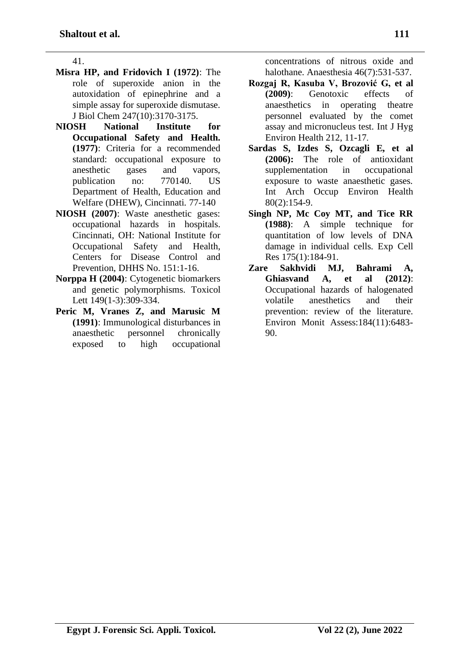41.

- **Misra HP, and Fridovich I (1972)**: The role of superoxide anion in the autoxidation of epinephrine and a simple assay for superoxide dismutase. J Biol Chem 247(10):3170-3175.
- **NIOSH National Institute for Occupational Safety and Health. (1977)**: Criteria for a recommended standard: occupational exposure to anesthetic gases and vapors, publication no: 770140. US Department of Health, Education and Welfare (DHEW), Cincinnati. 77-140
- **NIOSH (2007)**: Waste anesthetic gases: occupational hazards in hospitals. Cincinnati, OH: National Institute for Occupational Safety and Health, Centers for Disease Control and Prevention, DHHS No. 151:1-16.
- **Norppa H (2004)**: Cytogenetic biomarkers and genetic polymorphisms. Toxicol Lett 149(1-3):309-334.
- **Peric M, Vranes Z, and Marusic M (1991)**: Immunological disturbances in anaesthetic personnel chronically exposed to high occupational

concentrations of nitrous oxide and halothane. Anaesthesia 46(7):531-537.

- **Rozgaj R, Kasuba V, Brozović G, et al (2009)**: Genotoxic effects of anaesthetics in operating theatre personnel evaluated by the comet assay and micronucleus test. Int J Hyg Environ Health 212, 11-17.
- **Sardas S, Izdes S, Ozcagli E, et al (2006):** The role of antioxidant supplementation in occupational exposure to waste anaesthetic gases. Int Arch Occup Environ Health 80(2):154-9.
- **Singh NP, Mc Coy MT, and Tice RR (1988)**: A simple technique for quantitation of low levels of DNA damage in individual cells. Exp Cell Res 175(1):184-91.
- **Zare Sakhvidi MJ, Bahrami A, Ghiasvand A, et al (2012)**: Occupational hazards of halogenated volatile anesthetics and their prevention: review of the literature. Environ Monit Assess:184(11):6483- 90.